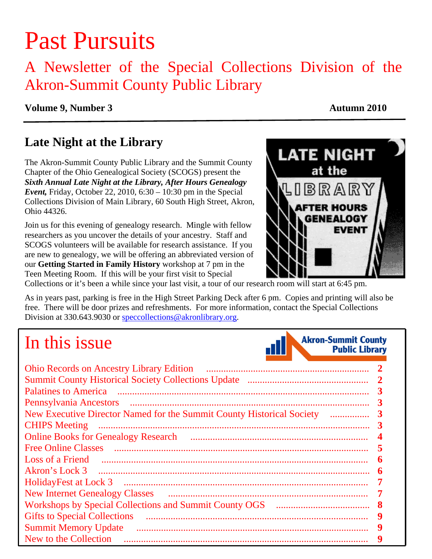# Past Pursuits

### A Newsletter of the Special Collections Division of the Akron-Summit County Public Library

#### **Volume 9, Number 3** Autumn 2010

### **Late Night at the Library**

The Akron-Summit County Public Library and the Summit County Chapter of the Ohio Genealogical Society (SCOGS) present the *Sixth Annual Late Night at the Library, After Hours Genealogy Event,* Friday, October 22, 2010, 6:30 – 10:30 pm in the Special Collections Division of Main Library, 60 South High Street, Akron, Ohio 44326.

Join us for this evening of genealogy research. Mingle with fellow researchers as you uncover the details of your ancestry. Staff and SCOGS volunteers will be available for research assistance. If you are new to genealogy, we will be offering an abbreviated version of our **Getting Started in Family History** workshop at 7 pm in the Teen Meeting Room.If this will be your first visit to Special



Collections or it's been a while since your last visit, a tour of our research room will start at 6:45 pm.

As in years past, parking is free in the High Street Parking Deck after 6 pm. Copies and printing will also be free. There will be door prizes and refreshments. For more information, contact the Special Collections Division at 330.643.9030 or speccollections@akronlibrary.org.

## In this issue



| <b>Ohio Records on Ancestry Library Edition</b>                            |
|----------------------------------------------------------------------------|
|                                                                            |
| Palatines to America                                                       |
|                                                                            |
| New Executive Director Named for the Summit County Historical Society<br>3 |
| <b>CHIPS</b> Meeting                                                       |
|                                                                            |
| <b>Free Online Classes</b>                                                 |
| Loss of a Friend<br>6                                                      |
| 6                                                                          |
| HolidayFest at Lock 3<br>7                                                 |
| <b>New Internet Genealogy Classes</b>                                      |
| 8                                                                          |
| <b>Gifts to Special Collections</b><br>9                                   |
| <b>Summit Memory Update</b>                                                |
| New to the Collection                                                      |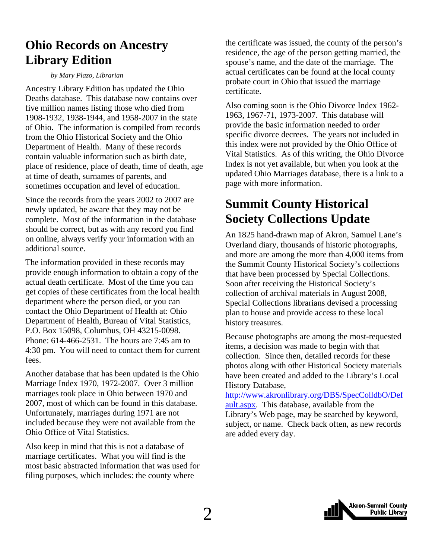### <span id="page-1-0"></span>**Ohio Records on Ancestry Library Edition**

#### *by Mary Plazo, Librarian*

Ancestry Library Edition has updated the Ohio Deaths database. This database now contains over five million names listing those who died from 1908-1932, 1938-1944, and 1958-2007 in the state of Ohio. The information is compiled from records from the Ohio Historical Society and the Ohio Department of Health. Many of these records contain valuable information such as birth date, place of residence, place of death, time of death, age at time of death, surnames of parents, and sometimes occupation and level of education.

Since the records from the years 2002 to 2007 are newly updated, be aware that they may not be complete. Most of the information in the database should be correct, but as with any record you find on online, always verify your information with an additional source.

The information provided in these records may provide enough information to obtain a copy of the actual death certificate. Most of the time you can get copies of these certificates from the local health department where the person died, or you can contact the Ohio Department of Health at: Ohio Department of Health, Bureau of Vital Statistics, P.O. Box 15098, Columbus, OH 43215-0098. Phone: 614-466-2531. The hours are 7:45 am to 4:30 pm. You will need to contact them for current fees.

Another database that has been updated is the Ohio Marriage Index 1970, 1972-2007. Over 3 million marriages took place in Ohio between 1970 and 2007, most of which can be found in this database. Unfortunately, marriages during 1971 are not included because they were not available from the Ohio Office of Vital Statistics.

Also keep in mind that this is not a database of marriage certificates. What you will find is the most basic abstracted information that was used for filing purposes, which includes: the county where

the certificate was issued, the county of the person's residence, the age of the person getting married, the spouse's name, and the date of the marriage. The actual certificates can be found at the local county probate court in Ohio that issued the marriage certificate.

Also coming soon is the Ohio Divorce Index 1962- 1963, 1967-71, 1973-2007. This database will provide the basic information needed to order specific divorce decrees. The years not included in this index were not provided by the Ohio Office of Vital Statistics. As of this writing, the Ohio Divorce Index is not yet available, but when you look at the updated Ohio Marriages database, there is a link to a page with more information.

### **Summit County Historical Society Collections Update**

An 1825 hand-drawn map of Akron, Samuel Lane's Overland diary, thousands of historic photographs, and more are among the more than 4,000 items from the Summit County Historical Society's collections that have been processed by Special Collections. Soon after receiving the Historical Society's collection of archival materials in August 2008, Special Collections librarians devised a processing plan to house and provide access to these local history treasures.

Because photographs are among the most-requested items, a decision was made to begin with that collection. Since then, detailed records for these photos along with other Historical Society materials have been created and added to the Library's Local History Database,

[http://www.akronlibrary.org/DBS/SpecColldbO/Def](http://www.akronlibrary.org/DBS/SpecColldbO/Default.aspx) ault.aspx. This database, available from the Library's Web page, may be searched by keyword, subject, or name. Check back often, as new records are added every day.

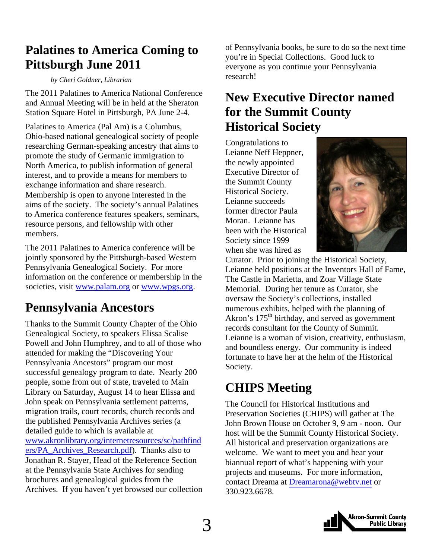### <span id="page-2-0"></span>**Palatines to America Coming to Pittsburgh June 2011**

#### *by Cheri Goldner, Librarian*

The 2011 Palatines to America National Conference and Annual Meeting will be in held at the Sheraton Station Square Hotel in Pittsburgh, PA June 2-4.

Palatines to America (Pal Am) is a Columbus, Ohio-based national genealogical society of people researching German-speaking ancestry that aims to promote the study of Germanic immigration to North America, to publish information of general interest, and to provide a means for members to exchange information and share research. Membership is open to anyone interested in the aims of the society. The society's annual Palatines to America conference features speakers, seminars, resource persons, and fellowship with other members.

The 2011 Palatines to America conference will be jointly sponsored by the Pittsburgh-based Western Pennsylvania Genealogical Society. For more information on the conference or membership in the societies, visit www.palam.org or www.wpgs.org.

### **Pennsylvania Ancestors**

Thanks to the Summit County Chapter of the Ohio Genealogical Society, to speakers Elissa Scalise Powell and John Humphrey, and to all of those who attended for making the "Discovering Your Pennsylvania Ancestors" program our most successful genealogy program to date. Nearly 200 people, some from out of state, traveled to Main Library on Saturday, August 14 to hear Elissa and John speak on Pennsylvania settlement patterns, migration trails, court records, church records and the published Pennsylvania Archives series (a detailed guide to which is available at [www.akronlibrary.org/internetresources/sc/pathfind](http://www.akronlibrary.org/internetresources/sc/pathfinders/PA_Archives_Research.pdf) ers/PA\_Archives\_Research.pdf). Thanks also to Jonathan R. Stayer, Head of the Reference Section at the Pennsylvania State Archives for sending brochures and genealogical guides from the Archives. If you haven't yet browsed our collection

of Pennsylvania books, be sure to do so the next time you're in Special Collections. Good luck to everyone as you continue your Pennsylvania research!

### **New Executive Director named for the Summit County Historical Society**

Congratulations to Leianne Neff Heppner, the newly appointed Executive Director of the Summit County Historical Society. Leianne succeeds former director Paula Moran. Leianne has been with the Historical Society since 1999 when she was hired as



Curator. Prior to joining the Historical Society, Leianne held positions at the Inventors Hall of Fame, The Castle in Marietta, and Zoar Village State Memorial. During her tenure as Curator, she oversaw the Society's collections, installed numerous exhibits, helped with the planning of Akron's 175<sup>th</sup> birthday, and served as government records consultant for the County of Summit. Leianne is a woman of vision, creativity, enthusiasm, and boundless energy. Our community is indeed fortunate to have her at the helm of the Historical Society.

### **CHIPS Meeting**

The Council for Historical Institutions and Preservation Societies (CHIPS) will gather at The John Brown House on October 9, 9 am - noon. Our host will be the Summit County Historical Society. All historical and preservation organizations are welcome. We want to meet you and hear your biannual report of what's happening with your projects and museums. For more information, contact Dreama at [Dreamarona@webtv.net](mailto:Dramorona@webtv.net) or 330.923.6678.

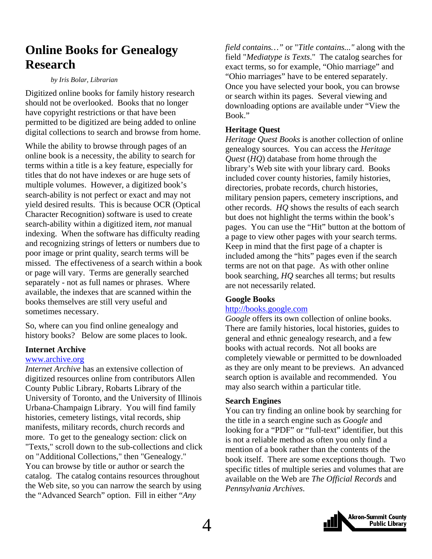### <span id="page-3-0"></span>**Online Books for Genealogy Research**

#### *by Iris Bolar, Librarian*

Digitized online books for family history research should not be overlooked. Books that no longer have copyright restrictions or that have been permitted to be digitized are being added to online digital collections to search and browse from home.

While the ability to browse through pages of an online book is a necessity, the ability to search for terms within a title is a key feature, especially for titles that do not have indexes or are huge sets of multiple volumes. However, a digitized book's search-ability is not perfect or exact and may not yield desired results. This is because OCR (Optical Character Recognition) software is used to create search-ability within a digitized item, *not* manual indexing. When the software has difficulty reading and recognizing strings of letters or numbers due to poor image or print quality, search terms will be missed. The effectiveness of a search within a book or page will vary. Terms are generally searched separately - not as full names or phrases. Where available, the indexes that are scanned within the books themselves are still very useful and sometimes necessary.

So, where can you find online genealogy and history books? Below are some places to look.

#### **Internet Archive**

#### www.archive.org

*Internet Archive* has an extensive collection of digitized resources online from contributors Allen County Public Library, Robarts Library of the University of Toronto, and the University of Illinois Urbana-Champaign Library. You will find family histories, cemetery listings, vital records, ship manifests, military records, church records and more. To get to the genealogy section: click on "Texts," scroll down to the sub-collections and click on "Additional Collections," then "Genealogy." You can browse by title or author or search the catalog. The catalog contains resources throughout the Web site, so you can narrow the search by using the "Advanced Search" option. Fill in either "*Any* 

*field contains…"* or "*Title contains..."* along with the field "*Mediatype is Texts*." The catalog searches for exact terms, so for example, "Ohio marriage" and "Ohio marriages" have to be entered separately. Once you have selected your book, you can browse or search within its pages. Several viewing and downloading options are available under "View the Book."

#### **Heritage Quest**

*Heritage Quest Books* is another collection of online genealogy sources. You can access the *Heritage Quest* (*HQ*) database from home through the library's Web site with your library card. Books included cover county histories, family histories, directories, probate records, church histories, military pension papers, cemetery inscriptions, and other records. *HQ* shows the results of each search but does not highlight the terms within the book's pages. You can use the "Hit" button at the bottom of a page to view other pages with your search terms. Keep in mind that the first page of a chapter is included among the "hits" pages even if the search terms are not on that page. As with other online book searching, *HQ* searches all terms; but results are not necessarily related.

#### **Google Books**

#### http://books.google.com

*Google* offers its own collection of online books. There are family histories, local histories, guides to general and ethnic genealogy research, and a few books with actual records. Not all books are completely viewable or permitted to be downloaded as they are only meant to be previews. An advanced search option is available and recommended. You may also search within a particular title.

#### **Search Engines**

You can try finding an online book by searching for the title in a search engine such as *Google* and looking for a "PDF" or "full-text" identifier, but this is not a reliable method as often you only find a mention of a book rather than the contents of the book itself. There are some exceptions though. Two specific titles of multiple series and volumes that are available on the Web are *The Official Records* and *Pennsylvania Archives*.

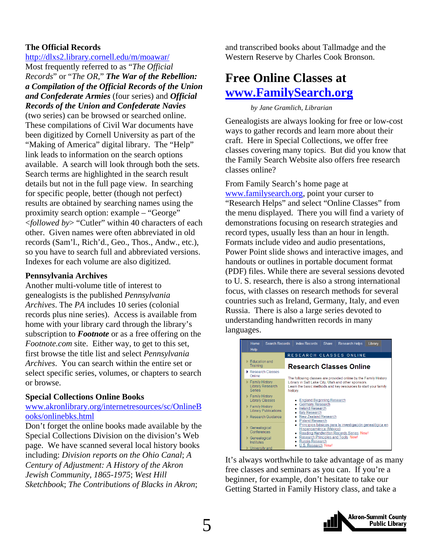#### <span id="page-4-0"></span>**The Official Records**

http://dlxs2.library.cornell.edu/m/moawar/

Most frequently referred to as "*The Official Records*" or "*The OR*," *The War of the Rebellion: a Compilation of the Official Records of the Union and Confederate Armies* (four series) and *Official Records of the Union and Confederate Navies*

(two series) can be browsed or searched online. These compilations of Civil War documents have been digitized by Cornell University as part of the "Making of America" digital library. The "Help" link leads to information on the search options available. A search will look through both the sets. Search terms are highlighted in the search result details but not in the full page view. In searching for specific people, better (though not perfect) results are obtained by searching names using the proximity search option: example – "George" <*followed by*> "Cutler" within 40 characters of each other. Given names were often abbreviated in old records (Sam'l., Rich'd., Geo., Thos., Andw., etc.), so you have to search full and abbreviated versions. Indexes for each volume are also digitized.

#### **Pennsylvania Archives**

Another multi-volume title of interest to genealogists is the published *Pennsylvania Archives*. The *PA* includes 10 series (colonial records plus nine series). Access is available from home with your library card through the library's subscription to *Footnote* or as a free offering on the *Footnote.com* site. Either way, to get to this set, first browse the title list and select *Pennsylvania Archives*. You can search within the entire set or select specific series, volumes, or chapters to search or browse.

#### **Special Collections Online Books**

#### [www.akronlibrary.org/internetresources/sc/OnlineB](http://www.akronlibrary.org/internetresources/sc/OnlineBooks/onlinebks.html) ooks/onlinebks.html

Don't forget the online books made available by the Special Collections Division on the division's Web page. We have scanned several local history books including: *Division reports on the Ohio Canal*; *A Century of Adjustment: A History of the Akron Jewish Community, 1865-1975*; *West Hill Sketchbook*; *The Contributions of Blacks in Akron*;

and transcribed books about Tallmadge and the Western Reserve by Charles Cook Bronson.

### **Free Online Classes at www.FamilySearch.org**

 *by Jane Gramlich, Librarian* 

Genealogists are always looking for free or low-cost ways to gather records and learn more about their craft. Here in Special Collections, we offer free classes covering many topics. But did you know that the Family Search Website also offers free research classes online?

From Family Search's home page at www.familysearch.org, point your curser to "Research Helps" and select "Online Classes" from the menu displayed. There you will find a variety of demonstrations focusing on research strategies and record types, usually less than an hour in length. Formats include video and audio presentations, Power Point slide shows and interactive images, and handouts or outlines in portable document format (PDF) files. While there are several sessions devoted to U. S. research, there is also a strong international focus, with classes on research methods for several countries such as Ireland, Germany, Italy, and even Russia. There is also a large series devoted to understanding handwritten records in many languages.

| Home<br><b>Search Records</b><br>Help                                                                          | <b>Index Records</b><br><b>Share</b><br><b>Research Helps</b><br>Library                                                                                                                                            |  |
|----------------------------------------------------------------------------------------------------------------|---------------------------------------------------------------------------------------------------------------------------------------------------------------------------------------------------------------------|--|
| RESEARCH CLASSES ONLINE                                                                                        |                                                                                                                                                                                                                     |  |
| Education and<br>Training                                                                                      | <b>Research Classes Online</b>                                                                                                                                                                                      |  |
| Research Classes<br>Online                                                                                     | The following classes are provided online by the Family History                                                                                                                                                     |  |
| Family History<br><b>Library Research</b><br>Series                                                            | Library in Salt Lake City, Utah and other sponsors.<br>Learn the basic methods and key resources to start your family<br>history.                                                                                   |  |
| Family History<br><b>Library Classes</b><br>Family History<br><b>Library Publications</b><br>Research Guidance | <b>England Beginning Research</b><br><b>Germany Research</b><br><b>Ireland Research</b><br><b>Italy Research</b><br><b>New Zealand Research</b><br><b>Poland Research</b>                                           |  |
| Genealogical<br>Conferences<br>Genealogical<br>Institutes<br>University and                                    | Principios básicos para la investigación genealógica en<br>Hispanoamérica (México)<br>Reading Handwritten Records Series New!<br>Research Principles and Tools New!<br><b>Russia Research</b><br>U.S. Research New! |  |

It's always worthwhile to take advantage of as many free classes and seminars as you can. If you're a beginner, for example, don't hesitate to take our Getting Started in Family History class, and take a

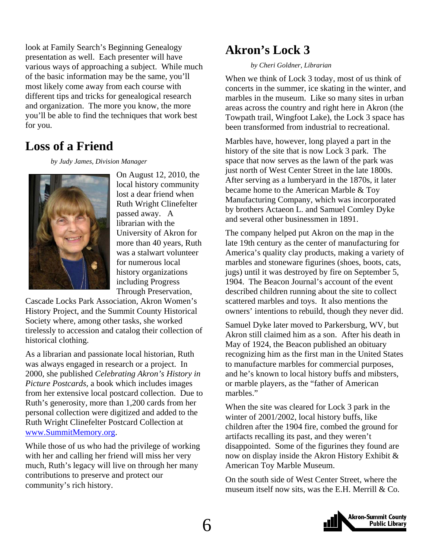<span id="page-5-0"></span>look at Family Search's Beginning Genealogy presentation as well. Each presenter will have various ways of approaching a subject. While much of the basic information may be the same, you'll most likely come away from each course with different tips and tricks for genealogical research and organization. The more you know, the more you'll be able to find the techniques that work best for you.

### **Loss of a Friend**

 *by Judy James, Division Manager* 



On August 12, 2010, the local history community lost a dear friend when Ruth Wright Clinefelter passed away. A librarian with the University of Akron for more than 40 years, Ruth was a stalwart volunteer for numerous local history organizations including Progress Through Preservation,

Cascade Locks Park Association, Akron Women's History Project, and the Summit County Historical Society where, among other tasks, she worked tirelessly to accession and catalog their collection of historical clothing.

As a librarian and passionate local historian, Ruth was always engaged in research or a project. In 2000, she published *Celebrating Akron's History in Picture Postcards,* a book which includes images from her extensive local postcard collection. Due to Ruth's generosity, more than 1,200 cards from her personal collection were digitized and added to the Ruth Wright Clinefelter Postcard Collection at www.SummitMemory.org.

While those of us who had the privilege of working with her and calling her friend will miss her very much, Ruth's legacy will live on through her many contributions to preserve and protect our community's rich history.

### **Akron's Lock 3**

#### *by Cheri Goldner, Librarian*

When we think of Lock 3 today, most of us think of concerts in the summer, ice skating in the winter, and marbles in the museum. Like so many sites in urban areas across the country and right here in Akron (the Towpath trail, Wingfoot Lake), the Lock 3 space has been transformed from industrial to recreational.

Marbles have, however, long played a part in the history of the site that is now Lock 3 park. The space that now serves as the lawn of the park was just north of West Center Street in the late 1800s. After serving as a lumberyard in the 1870s, it later became home to the American Marble & Toy Manufacturing Company, which was incorporated by brothers Actaeon L. and Samuel Comley Dyke and several other businessmen in 1891.

The company helped put Akron on the map in the late 19th century as the center of manufacturing for America's quality clay products, making a variety of marbles and stoneware figurines (shoes, boots, cats, jugs) until it was destroyed by fire on September 5, 1904. The Beacon Journal's account of the event described children running about the site to collect scattered marbles and toys. It also mentions the owners' intentions to rebuild, though they never did.

Samuel Dyke later moved to Parkersburg, WV, but Akron still claimed him as a son. After his death in May of 1924, the Beacon published an obituary recognizing him as the first man in the United States to manufacture marbles for commercial purposes, and he's known to local history buffs and mibsters, or marble players, as the "father of American marbles."

When the site was cleared for Lock 3 park in the winter of 2001/2002, local history buffs, like children after the 1904 fire, combed the ground for artifacts recalling its past, and they weren't disappointed. Some of the figurines they found are now on display inside the Akron History Exhibit & American Toy Marble Museum.

On the south side of West Center Street, where the museum itself now sits, was the E.H. Merrill & Co.

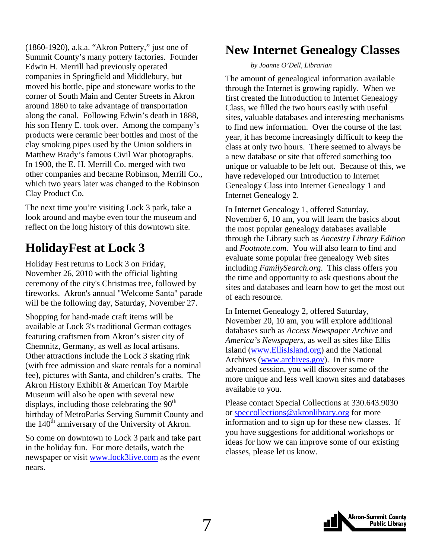<span id="page-6-0"></span>(1860-1920), a.k.a. "Akron Pottery," just one of Summit County's many pottery factories. Founder Edwin H. Merrill had previously operated companies in Springfield and Middlebury, but moved his bottle, pipe and stoneware works to the corner of South Main and Center Streets in Akron around 1860 to take advantage of transportation along the canal. Following Edwin's death in 1888, his son Henry E. took over. Among the company's products were ceramic beer bottles and most of the clay smoking pipes used by the Union soldiers in Matthew Brady's famous Civil War photographs. In 1900, the E. H. Merrill Co. merged with two other companies and became Robinson, Merrill Co., which two years later was changed to the Robinson Clay Product Co.

The next time you're visiting Lock 3 park, take a look around and maybe even tour the museum and reflect on the long history of this downtown site.

### **HolidayFest at Lock 3**

Holiday Fest returns to Lock 3 on Friday, November 26, 2010 with the official lighting ceremony of the city's Christmas tree, followed by fireworks. Akron's annual "Welcome Santa" parade will be the following day, Saturday, November 27.

Shopping for hand-made craft items will be available at Lock 3's traditional German cottages featuring craftsmen from Akron's sister city of Chemnitz, Germany, as well as local artisans. Other attractions include the Lock 3 skating rink (with free admission and skate rentals for a nominal fee), pictures with Santa, and children's crafts. The Akron History Exhibit & American Toy Marble Museum will also be open with several new displays, including those celebrating the  $90<sup>th</sup>$ birthday of MetroParks Serving Summit County and the  $140<sup>th</sup>$  anniversary of the University of Akron.

So come on downtown to Lock 3 park and take part in the holiday fun. For more details, watch the newspaper or visit www.lock3live.com as the event nears.

### **New Internet Genealogy Classes**

#### *by Joanne O'Dell, Librarian*

The amount of genealogical information available through the Internet is growing rapidly. When we first created the Introduction to Internet Genealogy Class, we filled the two hours easily with useful sites, valuable databases and interesting mechanisms to find new information. Over the course of the last year, it has become increasingly difficult to keep the class at only two hours. There seemed to always be a new database or site that offered something too unique or valuable to be left out. Because of this, we have redeveloped our Introduction to Internet Genealogy Class into Internet Genealogy 1 and Internet Genealogy 2.

In Internet Genealogy 1, offered Saturday, November 6, 10 am, you will learn the basics about the most popular genealogy databases available through the Library such as *Ancestry Library Edition* and *Footnote.com*. You will also learn to find and evaluate some popular free genealogy Web sites including *FamilySearch.org*. This class offers you the time and opportunity to ask questions about the sites and databases and learn how to get the most out of each resource.

In Internet Genealogy 2, offered Saturday, November 20, 10 am, you will explore additional databases such as *Access Newspaper Archive* and *America's Newspapers*, as well as sites like Ellis Island (www.EllisIsland.org) and the National Archives (www.archives.gov). In this more advanced session, you will discover some of the more unique and less well known sites and databases available to you.

Please contact Special Collections at 330.643.9030 or speccollections@akronlibrary.org for more information and to sign up for these new classes. If you have suggestions for additional workshops or ideas for how we can improve some of our existing classes, please let us know.

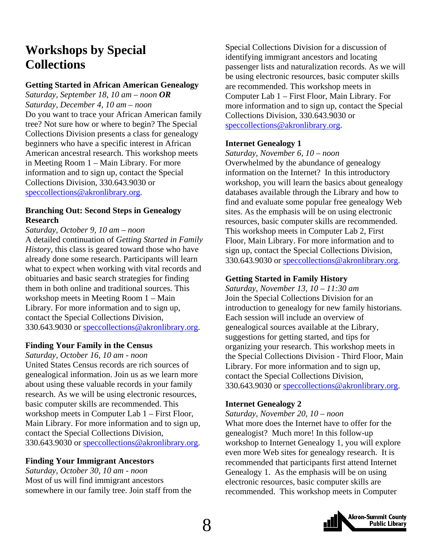### <span id="page-7-0"></span>**Workshops by Special Collections**

#### **Getting Started in African American Genealogy**

*Saturday, September 18, 10 am – noon OR Saturday, December 4, 10 am – noon*  Do you want to trace your African American family tree? Not sure how or where to begin? The Special Collections Division presents a class for genealogy beginners who have a specific interest in African American ancestral research. This workshop meets in Meeting Room 1 – Main Library. For more information and to sign up, contact the Special Collections Division, 330.643.9030 or speccollections@akronlibrary.org.

#### **Branching Out: Second Steps in Genealogy Research**

*Saturday, October 9, 10 am – noon*  A detailed continuation of *Getting Started in Family History,* this class is geared toward those who have already done some research. Participants will learn what to expect when working with vital records and obituaries and basic search strategies for finding them in both online and traditional sources. This workshop meets in Meeting Room 1 – Main Library. For more information and to sign up, contact the Special Collections Division, 330.643.9030 or speccollections@akronlibrary.org.

#### **Finding Your Family in the Census**

*Saturday, October 16, 10 am - noon* 

United States Census records are rich sources of genealogical information. Join us as we learn more about using these valuable records in your family research. As we will be using electronic resources, basic computer skills are recommended. This workshop meets in Computer Lab 1 – First Floor, Main Library. For more information and to sign up, contact the Special Collections Division, 330.643.9030 or speccollections@akronlibrary.org.

#### **Finding Your Immigrant Ancestors**

*Saturday, October 30, 10 am - noon*  Most of us will find immigrant ancestors somewhere in our family tree. Join staff from the

Special Collections Division for a discussion of identifying immigrant ancestors and locating passenger lists and naturalization records. As we will be using electronic resources, basic computer skills are recommended. This workshop meets in Computer Lab 1 – First Floor, Main Library. For more information and to sign up, contact the Special Collections Division, 330.643.9030 or speccollections@akronlibrary.org.

#### **Internet Genealogy 1**

*Saturday, November 6, 10 – noon*  Overwhelmed by the abundance of genealogy information on the Internet? In this introductory workshop, you will learn the basics about genealogy databases available through the Library and how to find and evaluate some popular free genealogy Web sites. As the emphasis will be on using electronic resources, basic computer skills are recommended. This workshop meets in Computer Lab 2, First Floor, Main Library. For more information and to sign up, contact the Special Collections Division, 330.643.9030 or speccollections@akronlibrary.org.

#### **Getting Started in Family History**

*Saturday, November 13, 10 – 11:30 am*  Join the Special Collections Division for an introduction to genealogy for new family historians. Each session will include an overview of genealogical sources available at the Library, suggestions for getting started, and tips for organizing your research. This workshop meets in the Special Collections Division - Third Floor, Main Library. For more information and to sign up, contact the Special Collections Division, 330.643.9030 or speccollections@akronlibrary.org.

#### **Internet Genealogy 2**

*Saturday, November 20, 10 – noon*  What more does the Internet have to offer for the genealogist? Much more! In this follow-up workshop to Internet Genealogy 1, you will explore even more Web sites for genealogy research. It is recommended that participants first attend Internet Genealogy 1. As the emphasis will be on using electronic resources, basic computer skills are recommended. This workshop meets in Computer

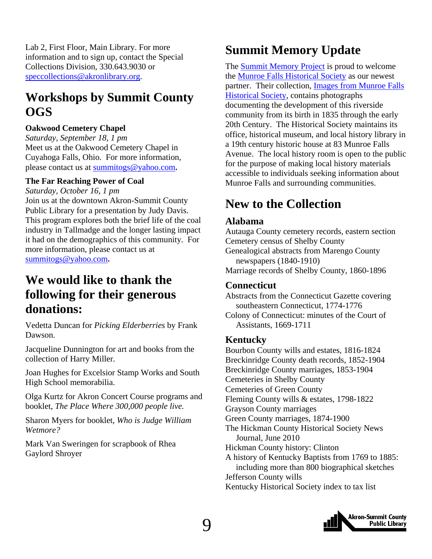<span id="page-8-0"></span>Lab 2, First Floor, Main Library. For more information and to sign up, contact the Special Collections Division, 330.643.9030 or speccollections@akronlibrary.org.

### **Workshops by Summit County OGS**

#### **Oakwood Cemetery Chapel**

*Saturday, September 18, 1 pm*  Meet us at the Oakwood Cemetery Chapel in Cuyahoga Falls, Ohio.For more information, please contact us at summitogs@yahoo.com**.**

#### **The Far Reaching Power of Coal**

*Saturday, October 16, 1 pm*  Join us at the downtown Akron-Summit County Public Library for a presentation by Judy Davis. This program explores both the brief life of the coal industry in Tallmadge and the longer lasting impact it had on the demographics of this community. For more information, please contact us at summitogs@yahoo.com**.**

### **We would like to thank the following for their generous donations:**

Vedetta Duncan for *Picking Elderberries* by Frank Dawson.

Jacqueline Dunnington for art and books from the collection of Harry Miller.

Joan Hughes for Excelsior Stamp Works and South High School memorabilia.

Olga Kurtz for Akron Concert Course programs and booklet, *The Place Where 300,000 people live.*

Sharon Myers for booklet, *Who is Judge William Wetmore?*

Mark Van Sweringen for scrapbook of Rhea Gaylord Shroyer

### **Summit Memory Update**

The [Summit Memory Project](http://www.summitmemory.org/) is proud to welcome the [Munroe Falls Historical Society](http://www.munroefalls.com//index.php?option=com_content&task=category§ionid=14&id=32&Itemid=45) as our newest [partner. Their collection, Images from Munroe Falls](http://www.summitmemory.org/cdm4/browse.php) Historical Society, contains photographs documenting the development of this riverside community from its birth in 1835 through the early 20th Century. The Historical Society maintains its office, historical museum, and local history library in a 19th century historic house at 83 Munroe Falls Avenue. The local history room is open to the public for the purpose of making local history materials accessible to individuals seeking information about Munroe Falls and surrounding communities.

### **New to the Collection**

#### **Alabama**

Autauga County cemetery records, eastern section Cemetery census of Shelby County Genealogical abstracts from Marengo County newspapers (1840-1910) Marriage records of Shelby County, 1860-1896

#### **Connecticut**

Abstracts from the Connecticut Gazette covering southeastern Connecticut, 1774-1776

#### **Kentucky**

Bourbon County wills and estates, 1816-1824 Breckinridge County death records, 1852-1904 Breckinridge County marriages, 1853-1904 Cemeteries in Shelby County Cemeteries of Green County Fleming County wills & estates, 1798-1822 Grayson County marriages Green County marriages, 1874-1900 The Hickman County Historical Society News Journal, June 2010 Hickman County history: Clinton A history of Kentucky Baptists from 1769 to 1885: including more than 800 biographical sketches Jefferson County wills Kentucky Historical Society index to tax list



Colony of Connecticut: minutes of the Court of Assistants, 1669-1711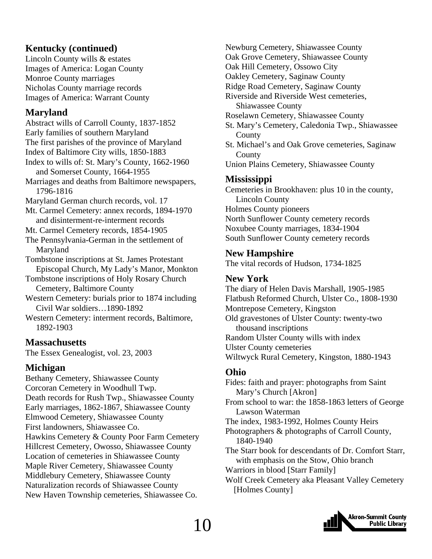#### **Kentucky (continued)**

Lincoln County wills & estates Images of America: Logan County Monroe County marriages Nicholas County marriage records Images of America: Warrant County

#### **Maryland**

Abstract wills of Carroll County, 1837-1852

Early families of southern Maryland

The first parishes of the province of Maryland Index of Baltimore City wills, 1850-1883

Index to wills of: St. Mary's County, 1662-1960 and Somerset County, 1664-1955

Marriages and deaths from Baltimore newspapers, 1796-1816

Maryland German church records, vol. 17

Mt. Carmel Cemetery: annex records, 1894-1970 and disinterment-re-interment records

Mt. Carmel Cemetery records, 1854-1905

The Pennsylvania-German in the settlement of Maryland

Tombstone inscriptions at St. James Protestant Episcopal Church, My Lady's Manor, Monkton

Tombstone inscriptions of Holy Rosary Church Cemetery, Baltimore County

Western Cemetery: burials prior to 1874 including Civil War soldiers…1890-1892

Western Cemetery: interment records, Baltimore, 1892-1903

#### **Massachusetts**

The Essex Genealogist, vol. 23, 2003

#### **Michigan**

Bethany Cemetery, Shiawassee County Corcoran Cemetery in Woodhull Twp. Death records for Rush Twp., Shiawassee County Early marriages, 1862-1867, Shiawassee County Elmwood Cemetery, Shiawassee County First landowners, Shiawassee Co. Hawkins Cemetery & County Poor Farm Cemetery Hillcrest Cemetery, Owosso, Shiawassee County Location of cemeteries in Shiawassee County Maple River Cemetery, Shiawassee County Middlebury Cemetery, Shiawassee County Naturalization records of Shiawassee County New Haven Township cemeteries, Shiawassee Co.

Newburg Cemetery, Shiawassee County Oak Grove Cemetery, Shiawassee County Oak Hill Cemetery, Ossowo City Oakley Cemetery, Saginaw County Ridge Road Cemetery, Saginaw County Riverside and Riverside West cemeteries, Shiawassee County Roselawn Cemetery, Shiawassee County St. Mary's Cemetery, Caledonia Twp., Shiawassee County St. Michael's and Oak Grove cemeteries, Saginaw **County** Union Plains Cemetery, Shiawassee County

#### **Mississippi**

Cemeteries in Brookhaven: plus 10 in the county, Lincoln County Holmes County pioneers North Sunflower County cemetery records Noxubee County marriages, 1834-1904 South Sunflower County cemetery records

#### **New Hampshire**

The vital records of Hudson, 1734-1825

#### **New York**

The diary of Helen Davis Marshall, 1905-1985 Flatbush Reformed Church, Ulster Co., 1808-1930 Montrepose Cemetery, Kingston Old gravestones of Ulster County: twenty-two thousand inscriptions Random Ulster County wills with index Ulster County cemeteries Wiltwyck Rural Cemetery, Kingston, 1880-1943

#### **Ohio**

Fides: faith and prayer: photographs from Saint Mary's Church [Akron] From school to war: the 1858-1863 letters of George Lawson Waterman The index, 1983-1992, Holmes County Heirs Photographers & photographs of Carroll County, 1840-1940 The Starr book for descendants of Dr. Comfort Starr, with emphasis on the Stow, Ohio branch Warriors in blood [Starr Family] Wolf Creek Cemetery aka Pleasant Valley Cemetery [Holmes County]

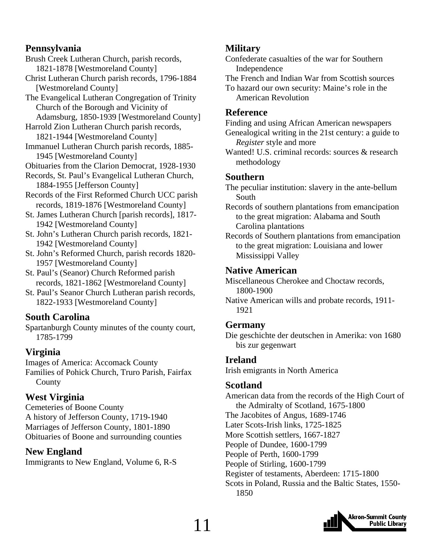#### **Pennsylvania**

Brush Creek Lutheran Church, parish records, 1821-1878 [Westmoreland County]

Christ Lutheran Church parish records, 1796-1884 [Westmoreland County]

The Evangelical Lutheran Congregation of Trinity Church of the Borough and Vicinity of Adamsburg, 1850-1939 [Westmoreland County]

Harrold Zion Lutheran Church parish records, 1821-1944 [Westmoreland County]

Immanuel Lutheran Church parish records, 1885- 1945 [Westmoreland County]

Obituaries from the Clarion Democrat, 1928-1930

Records, St. Paul's Evangelical Lutheran Church, 1884-1955 [Jefferson County]

Records of the First Reformed Church UCC parish records, 1819-1876 [Westmoreland County]

St. James Lutheran Church [parish records], 1817- 1942 [Westmoreland County]

St. John's Lutheran Church parish records, 1821- 1942 [Westmoreland County]

St. John's Reformed Church, parish records 1820- 1957 [Westmoreland County]

St. Paul's (Seanor) Church Reformed parish records, 1821-1862 [Westmoreland County]

St. Paul's Seanor Church Lutheran parish records, 1822-1933 [Westmoreland County]

### **South Carolina**

Spartanburgh County minutes of the county court, 1785-1799

### **Virginia**

Images of America: Accomack County Families of Pohick Church, Truro Parish, Fairfax County

### **West Virginia**

Cemeteries of Boone County A history of Jefferson County, 1719-1940 Marriages of Jefferson County, 1801-1890 Obituaries of Boone and surrounding counties

### **New England**

Immigrants to New England, Volume 6, R-S

### **Military**

Confederate casualties of the war for Southern Independence

The French and Indian War from Scottish sources To hazard our own security: Maine's role in the American Revolution

#### **Reference**

Finding and using African American newspapers Genealogical writing in the 21st century: a guide to *Register* style and more

Wanted! U.S. criminal records: sources & research methodology

#### **Southern**

The peculiar institution: slavery in the ante-bellum South

Records of southern plantations from emancipation to the great migration: Alabama and South Carolina plantations

Records of Southern plantations from emancipation to the great migration: Louisiana and lower Mississippi Valley

#### **Native American**

Miscellaneous Cherokee and Choctaw records, 1800-1900

Native American wills and probate records, 1911- 1921

### **Germany**

Die geschichte der deutschen in Amerika: von 1680 bis zur gegenwart

### **Ireland**

Irish emigrants in North America

### **Scotland**

American data from the records of the High Court of the Admiralty of Scotland, 1675-1800 The Jacobites of Angus, 1689-1746 Later Scots-Irish links, 1725-1825 More Scottish settlers, 1667-1827 People of Dundee, 1600-1799 People of Perth, 1600-1799 People of Stirling, 1600-1799 Register of testaments, Aberdeen: 1715-1800 Scots in Poland, Russia and the Baltic States, 1550- 1850